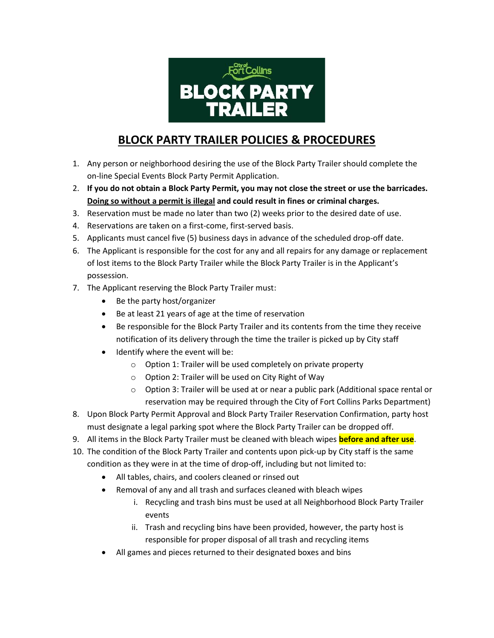

## **BLOCK PARTY TRAILER POLICIES & PROCEDURES**

- 1. Any person or neighborhood desiring the use of the Block Party Trailer should complete the on-line Special Events Block Party Permit Application.
- 2. **If you do not obtain a Block Party Permit, you may not close the street or use the barricades. Doing so without a permit is illegal and could result in fines or criminal charges.**
- 3. Reservation must be made no later than two (2) weeks prior to the desired date of use.
- 4. Reservations are taken on a first-come, first-served basis.
- 5. Applicants must cancel five (5) business days in advance of the scheduled drop-off date.
- 6. The Applicant is responsible for the cost for any and all repairs for any damage or replacement of lost items to the Block Party Trailer while the Block Party Trailer is in the Applicant's possession.
- 7. The Applicant reserving the Block Party Trailer must:
	- Be the party host/organizer
	- Be at least 21 years of age at the time of reservation
	- Be responsible for the Block Party Trailer and its contents from the time they receive notification of its delivery through the time the trailer is picked up by City staff
	- Identify where the event will be:
		- o Option 1: Trailer will be used completely on private property
		- o Option 2: Trailer will be used on City Right of Way
		- o Option 3: Trailer will be used at or near a public park (Additional space rental or reservation may be required through the City of Fort Collins Parks Department)
- 8. Upon Block Party Permit Approval and Block Party Trailer Reservation Confirmation, party host must designate a legal parking spot where the Block Party Trailer can be dropped off.
- 9. All items in the Block Party Trailer must be cleaned with bleach wipes **before and after use**.
- 10. The condition of the Block Party Trailer and contents upon pick-up by City staff is the same condition as they were in at the time of drop-off, including but not limited to:
	- All tables, chairs, and coolers cleaned or rinsed out
	- Removal of any and all trash and surfaces cleaned with bleach wipes
		- i. Recycling and trash bins must be used at all Neighborhood Block Party Trailer events
		- ii. Trash and recycling bins have been provided, however, the party host is responsible for proper disposal of all trash and recycling items
	- All games and pieces returned to their designated boxes and bins